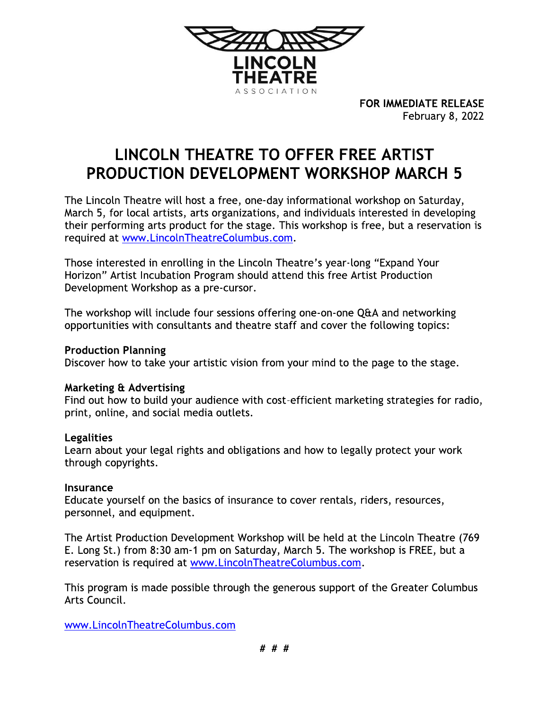

FOR IMMEDIATE RELEASE February 8, 2022

# LINCOLN THEATRE TO OFFER FREE ARTIST **PRODUCTION DEVELOPMENT WORKSHOP MARCH 5**

The Lincoln Theatre will host a free, one-day informational workshop on Saturday, March 5, for local artists, arts organizations, and individuals interested in developing their performing arts product for the stage. This workshop is free, but a reservation is required at www.LincolnTheatreColumbus.com.

Those interested in enrolling in the Lincoln Theatre's year-long "Expand Your Horizon" Artist Incubation Program should attend this free Artist Production Development Workshop as a pre-cursor.

The workshop will include four sessions offering one-on-one Q&A and networking opportunities with consultants and theatre staff and cover the following topics:

## **Production Planning**

Discover how to take your artistic vision from your mind to the page to the stage.

### **Marketing & Advertising**

Find out how to build your audience with cost-efficient marketing strategies for radio, print, online, and social media outlets.

### **Legalities**

Learn about your legal rights and obligations and how to legally protect your work through copyrights.

### Insurance

Educate yourself on the basics of insurance to cover rentals, riders, resources, personnel, and equipment.

The Artist Production Development Workshop will be held at the Lincoln Theatre (769) E. Long St.) from 8:30 am-1 pm on Saturday, March 5. The workshop is FREE, but a reservation is required at www.LincolnTheatreColumbus.com.

This program is made possible through the generous support of the Greater Columbus Arts Council.

www.LincolnTheatreColumbus.com